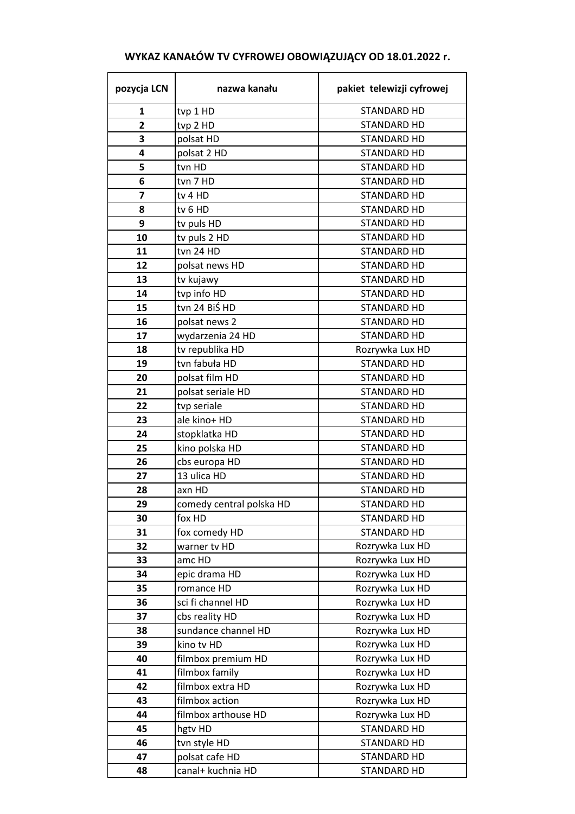| pozycja LCN    | nazwa kanału             | pakiet telewizji cyfrowej          |  |
|----------------|--------------------------|------------------------------------|--|
| $\mathbf{1}$   | tvp 1 HD                 | <b>STANDARD HD</b>                 |  |
| $\overline{2}$ | tvp 2 HD                 | STANDARD HD                        |  |
| 3              | polsat HD                | STANDARD HD                        |  |
| 4              | polsat 2 HD              | STANDARD HD                        |  |
| 5              | tvn HD                   | <b>STANDARD HD</b>                 |  |
| 6              | tvn 7 HD                 | <b>STANDARD HD</b>                 |  |
| 7              | tv 4 HD                  | STANDARD HD                        |  |
| 8              | tv 6 HD                  | <b>STANDARD HD</b>                 |  |
| 9              | tv puls HD               | STANDARD HD                        |  |
| 10             | tv puls 2 HD             | STANDARD HD                        |  |
| 11             | tvn 24 HD                | STANDARD HD                        |  |
| 12             | polsat news HD           | STANDARD HD                        |  |
| 13             | tv kujawy                | STANDARD HD                        |  |
| 14             | tvp info HD              | <b>STANDARD HD</b>                 |  |
| 15             | tvn 24 BiŚ HD            | STANDARD HD                        |  |
| 16             | polsat news 2            | STANDARD HD                        |  |
| 17             | wydarzenia 24 HD         | <b>STANDARD HD</b>                 |  |
| 18             | tv republika HD          | Rozrywka Lux HD                    |  |
| 19             | tvn fabuła HD            | <b>STANDARD HD</b>                 |  |
| 20             | polsat film HD           | <b>STANDARD HD</b>                 |  |
| 21             | polsat seriale HD        | STANDARD HD                        |  |
| 22             | tvp seriale              | STANDARD HD                        |  |
| 23             | ale kino+ HD             | STANDARD HD                        |  |
| 24             | stopklatka HD            | <b>STANDARD HD</b>                 |  |
| 25             | kino polska HD           |                                    |  |
| 26             | cbs europa HD            | STANDARD HD                        |  |
| 27             | 13 ulica HD              | STANDARD HD<br><b>STANDARD HD</b>  |  |
| 28             | axn HD                   | <b>STANDARD HD</b>                 |  |
| 29             | comedy central polska HD | STANDARD HD                        |  |
| 30             | fox HD                   | STANDARD HD                        |  |
| 31             | fox comedy HD            | STANDARD HD                        |  |
| 32             | warner tv HD             | Rozrywka Lux HD                    |  |
| 33             | amc HD                   |                                    |  |
| 34             | epic drama HD            | Rozrywka Lux HD<br>Rozrywka Lux HD |  |
| 35             | romance HD               |                                    |  |
| 36             | sci fi channel HD        | Rozrywka Lux HD<br>Rozrywka Lux HD |  |
| 37             |                          |                                    |  |
|                | cbs reality HD           | Rozrywka Lux HD                    |  |
| 38             | sundance channel HD      | Rozrywka Lux HD                    |  |
| 39             | kino tv HD               | Rozrywka Lux HD                    |  |
| 40             | filmbox premium HD       | Rozrywka Lux HD                    |  |
| 41             | filmbox family           | Rozrywka Lux HD                    |  |
| 42             | filmbox extra HD         | Rozrywka Lux HD                    |  |
| 43             | filmbox action           | Rozrywka Lux HD                    |  |
| 44             | filmbox arthouse HD      | Rozrywka Lux HD                    |  |
| 45             | hgtv HD                  | <b>STANDARD HD</b>                 |  |
| 46             | tvn style HD             | STANDARD HD                        |  |
| 47             | polsat cafe HD           | STANDARD HD                        |  |
| 48             | canal+ kuchnia HD        | STANDARD HD                        |  |

## **WYKAZ KANAŁÓW TV CYFROWEJ OBOWIĄZUJĄCY OD 18.01.2022 r.**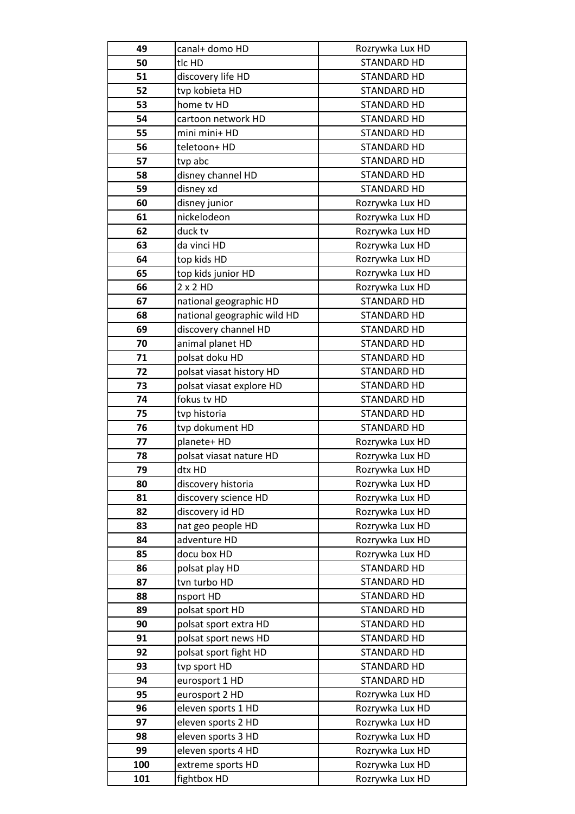| 49  | canal+ domo HD              | Rozrywka Lux HD    |  |
|-----|-----------------------------|--------------------|--|
| 50  | tlc HD                      | <b>STANDARD HD</b> |  |
| 51  | discovery life HD           | <b>STANDARD HD</b> |  |
| 52  | tvp kobieta HD              | <b>STANDARD HD</b> |  |
| 53  | home tv HD                  | <b>STANDARD HD</b> |  |
| 54  | cartoon network HD          | STANDARD HD        |  |
| 55  | mini mini+ HD               | STANDARD HD        |  |
| 56  | teletoon+ HD                | STANDARD HD        |  |
| 57  | tvp abc                     | <b>STANDARD HD</b> |  |
| 58  | disney channel HD           | STANDARD HD        |  |
| 59  | disney xd                   | <b>STANDARD HD</b> |  |
| 60  | disney junior               | Rozrywka Lux HD    |  |
| 61  | nickelodeon                 | Rozrywka Lux HD    |  |
| 62  | duck tv                     | Rozrywka Lux HD    |  |
| 63  | da vinci HD                 | Rozrywka Lux HD    |  |
| 64  | top kids HD                 | Rozrywka Lux HD    |  |
| 65  | top kids junior HD          | Rozrywka Lux HD    |  |
| 66  | 2x2HD                       | Rozrywka Lux HD    |  |
| 67  | national geographic HD      | <b>STANDARD HD</b> |  |
| 68  | national geographic wild HD | STANDARD HD        |  |
| 69  | discovery channel HD        | STANDARD HD        |  |
| 70  | animal planet HD            | <b>STANDARD HD</b> |  |
| 71  | polsat doku HD              | <b>STANDARD HD</b> |  |
| 72  | polsat viasat history HD    | <b>STANDARD HD</b> |  |
| 73  | polsat viasat explore HD    | <b>STANDARD HD</b> |  |
| 74  | fokus tv HD                 | <b>STANDARD HD</b> |  |
| 75  | tvp historia                | STANDARD HD        |  |
| 76  | tvp dokument HD             | STANDARD HD        |  |
| 77  | planete+ HD                 | Rozrywka Lux HD    |  |
| 78  | polsat viasat nature HD     | Rozrywka Lux HD    |  |
| 79  | dtx HD                      | Rozrywka Lux HD    |  |
| 80  | discovery historia          | Rozrywka Lux HD    |  |
| 81  | discovery science HD        | Rozrywka Lux HD    |  |
| 82  | discovery id HD             | Rozrywka Lux HD    |  |
| 83  | nat geo people HD           | Rozrywka Lux HD    |  |
| 84  | adventure HD                | Rozrywka Lux HD    |  |
| 85  | docu box HD                 | Rozrywka Lux HD    |  |
| 86  | polsat play HD              | STANDARD HD        |  |
| 87  | tvn turbo HD                | <b>STANDARD HD</b> |  |
| 88  | nsport HD                   | <b>STANDARD HD</b> |  |
| 89  | polsat sport HD             | STANDARD HD        |  |
| 90  | polsat sport extra HD       | <b>STANDARD HD</b> |  |
| 91  | polsat sport news HD        | STANDARD HD        |  |
| 92  | polsat sport fight HD       | <b>STANDARD HD</b> |  |
| 93  | tvp sport HD                | <b>STANDARD HD</b> |  |
| 94  | eurosport 1 HD              | <b>STANDARD HD</b> |  |
| 95  | eurosport 2 HD              | Rozrywka Lux HD    |  |
| 96  | eleven sports 1 HD          | Rozrywka Lux HD    |  |
| 97  | eleven sports 2 HD          | Rozrywka Lux HD    |  |
| 98  | eleven sports 3 HD          | Rozrywka Lux HD    |  |
| 99  | eleven sports 4 HD          | Rozrywka Lux HD    |  |
| 100 | extreme sports HD           | Rozrywka Lux HD    |  |
| 101 | fightbox HD                 | Rozrywka Lux HD    |  |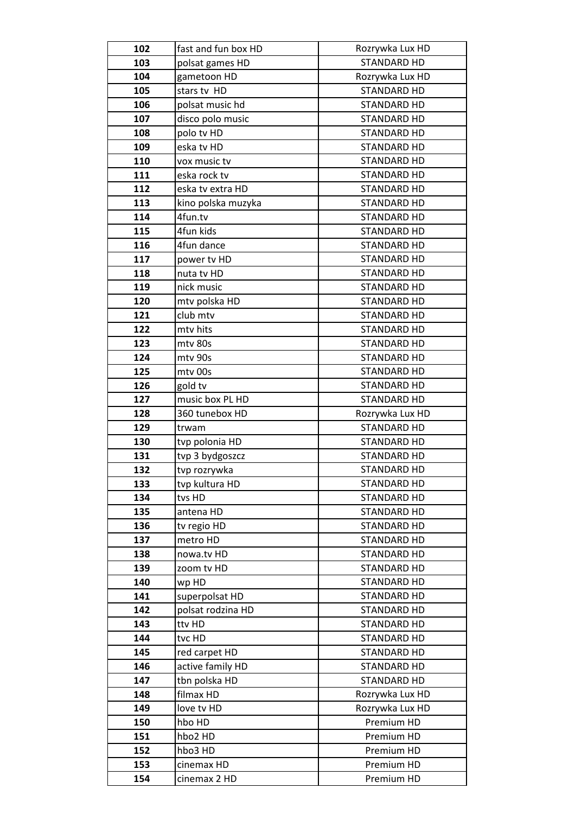| 102 | fast and fun box HD | Rozrywka Lux HD    |  |
|-----|---------------------|--------------------|--|
| 103 | polsat games HD     | <b>STANDARD HD</b> |  |
| 104 | gametoon HD         | Rozrywka Lux HD    |  |
| 105 | stars tv HD         | STANDARD HD        |  |
| 106 | polsat music hd     | <b>STANDARD HD</b> |  |
| 107 | disco polo music    | STANDARD HD        |  |
| 108 | polo tv HD          | STANDARD HD        |  |
| 109 | eska tv HD          | STANDARD HD        |  |
| 110 | vox music tv        | STANDARD HD        |  |
| 111 | eska rock tv        | STANDARD HD        |  |
| 112 | eska tv extra HD    | STANDARD HD        |  |
| 113 | kino polska muzyka  | STANDARD HD        |  |
| 114 | 4fun.tv             | STANDARD HD        |  |
| 115 | 4fun kids           | STANDARD HD        |  |
| 116 | 4fun dance          | STANDARD HD        |  |
| 117 | power tv HD         | <b>STANDARD HD</b> |  |
| 118 | nuta tv HD          | <b>STANDARD HD</b> |  |
| 119 | nick music          | STANDARD HD        |  |
| 120 | mtv polska HD       | <b>STANDARD HD</b> |  |
| 121 | club mtv            | <b>STANDARD HD</b> |  |
| 122 | mtv hits            | STANDARD HD        |  |
| 123 | mtv 80s             | <b>STANDARD HD</b> |  |
| 124 | mtv 90s             | STANDARD HD        |  |
| 125 | mtv 00s             | STANDARD HD        |  |
| 126 | gold tv             | STANDARD HD        |  |
| 127 | music box PL HD     | STANDARD HD        |  |
| 128 | 360 tunebox HD      | Rozrywka Lux HD    |  |
| 129 | trwam               | STANDARD HD        |  |
| 130 | tvp polonia HD      | STANDARD HD        |  |
| 131 | tvp 3 bydgoszcz     | <b>STANDARD HD</b> |  |
| 132 | tvp rozrywka        | <b>STANDARD HD</b> |  |
| 133 | tvp kultura HD      | STANDARD HD        |  |
| 134 | tvs HD              | STANDARD HD        |  |
| 135 | antena HD           | STANDARD HD        |  |
| 136 | tv regio HD         | <b>STANDARD HD</b> |  |
| 137 | metro HD            | STANDARD HD        |  |
| 138 | nowa.tv HD          | <b>STANDARD HD</b> |  |
| 139 | zoom tv HD          | <b>STANDARD HD</b> |  |
| 140 | wp HD               | <b>STANDARD HD</b> |  |
| 141 | superpolsat HD      | <b>STANDARD HD</b> |  |
| 142 | polsat rodzina HD   | STANDARD HD        |  |
| 143 | ttv HD              | <b>STANDARD HD</b> |  |
| 144 | tvc HD              | STANDARD HD        |  |
| 145 | red carpet HD       | <b>STANDARD HD</b> |  |
| 146 | active family HD    | STANDARD HD        |  |
| 147 | tbn polska HD       | STANDARD HD        |  |
| 148 | filmax HD           | Rozrywka Lux HD    |  |
| 149 | love tv HD          | Rozrywka Lux HD    |  |
| 150 | hbo HD              | Premium HD         |  |
| 151 | hbo2 HD             | Premium HD         |  |
| 152 | hbo3 HD             | Premium HD         |  |
| 153 | cinemax HD          | Premium HD         |  |
| 154 | cinemax 2 HD        | Premium HD         |  |